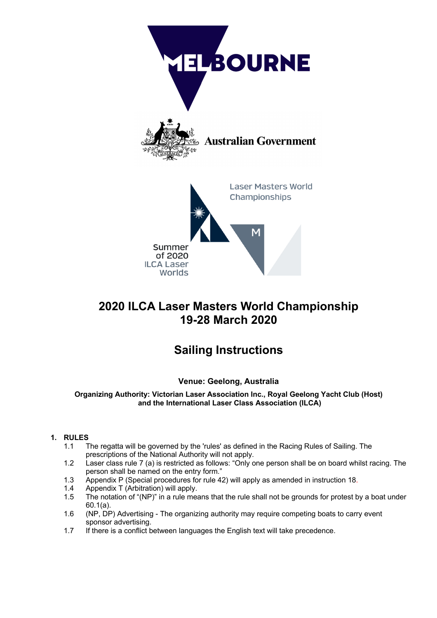

# **2020 ILCA Laser Masters World Championship 19-28 March 2020**

# **Sailing Instructions**

# **Venue: Geelong, Australia**

**Organizing Authority: Victorian Laser Association Inc., Royal Geelong Yacht Club (Host) and the International Laser Class Association (ILCA)**

# **1. RULES**

- 1.1 The regatta will be governed by the 'rules' as defined in the Racing Rules of Sailing. The prescriptions of the National Authority will not apply.
- 1.2 Laser class rule 7 (a) is restricted as follows: "Only one person shall be on board whilst racing. The person shall be named on the entry form."
- 1.3 Appendix P (Special procedures for rule 42) will apply as amended in instruction 18.
- 1.4 Appendix T (Arbitration) will apply.
- 1.5 The notation of "(NP)" in a rule means that the rule shall not be grounds for protest by a boat under 60.1(a).
- 1.6 (NP, DP) Advertising The organizing authority may require competing boats to carry event sponsor advertising.
- 1.7 If there is a conflict between languages the English text will take precedence.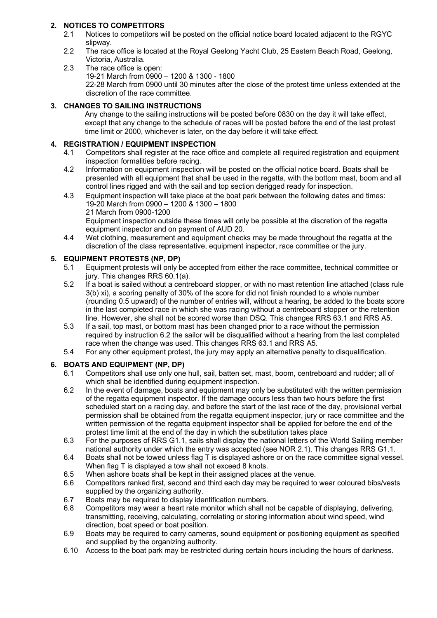## **2. NOTICES TO COMPETITORS**

- 2.1 Notices to competitors will be posted on the official notice board located adjacent to the RGYC slipway.
- 2.2 The race office is located at the Royal Geelong Yacht Club, 25 Eastern Beach Road, Geelong, Victoria, Australia.
- 2.3 The race office is open: 19-21 March from 0900 – 1200 & 1300 - 1800 22-28 March from 0900 until 30 minutes after the close of the protest time unless extended at the discretion of the race committee.

## **3. CHANGES TO SAILING INSTRUCTIONS**

Any change to the sailing instructions will be posted before 0830 on the day it will take effect, except that any change to the schedule of races will be posted before the end of the last protest time limit or 2000, whichever is later, on the day before it will take effect.

## **4. REGISTRATION / EQUIPMENT INSPECTION**

- 4.1 Competitors shall register at the race office and complete all required registration and equipment inspection formalities before racing.
- 4.2 Information on equipment inspection will be posted on the official notice board. Boats shall be presented with all equipment that shall be used in the regatta, with the bottom mast, boom and all control lines rigged and with the sail and top section derigged ready for inspection.
- 4.3 Equipment inspection will take place at the boat park between the following dates and times: 19-20 March from 0900 – 1200 & 1300 – 1800 21 March from 0900-1200 Equipment inspection outside these times will only be possible at the discretion of the regatta
- equipment inspector and on payment of AUD 20. 4.4 Wet clothing, measurement and equipment checks may be made throughout the regatta at the discretion of the class representative, equipment inspector, race committee or the jury.

## **5. EQUIPMENT PROTESTS (NP, DP)**

- 5.1 Equipment protests will only be accepted from either the race committee, technical committee or jury. This changes RRS 60.1(a).
- 5.2 If a boat is sailed without a centreboard stopper, or with no mast retention line attached (class rule 3(b) xi), a scoring penalty of 30% of the score for did not finish rounded to a whole number (rounding 0.5 upward) of the number of entries will, without a hearing, be added to the boats score in the last completed race in which she was racing without a centreboard stopper or the retention line. However, she shall not be scored worse than DSQ. This changes RRS 63.1 and RRS A5.
- 5.3 If a sail, top mast, or bottom mast has been changed prior to a race without the permission required by instruction 6.2 the sailor will be disqualified without a hearing from the last completed race when the change was used. This changes RRS 63.1 and RRS A5.
- 5.4 For any other equipment protest, the jury may apply an alternative penalty to disqualification.

## **6. BOATS AND EQUIPMENT (NP, DP)**

- 6.1 Competitors shall use only one hull, sail, batten set, mast, boom, centreboard and rudder; all of which shall be identified during equipment inspection.
- 6.2 In the event of damage, boats and equipment may only be substituted with the written permission of the regatta equipment inspector. If the damage occurs less than two hours before the first scheduled start on a racing day, and before the start of the last race of the day, provisional verbal permission shall be obtained from the regatta equipment inspector, jury or race committee and the written permission of the regatta equipment inspector shall be applied for before the end of the protest time limit at the end of the day in which the substitution takes place
- 6.3 For the purposes of RRS G1.1, sails shall display the national letters of the World Sailing member national authority under which the entry was accepted (see NOR 2.1). This changes RRS G1.1.
- 6.4 Boats shall not be towed unless flag T is displayed ashore or on the race committee signal vessel. When flag T is displayed a tow shall not exceed 8 knots.
- 6.5 When ashore boats shall be kept in their assigned places at the venue.
- 6.6 Competitors ranked first, second and third each day may be required to wear coloured bibs/vests supplied by the organizing authority.
- 6.7 Boats may be required to display identification numbers.
- 6.8 Competitors may wear a heart rate monitor which shall not be capable of displaying, delivering, transmitting, receiving, calculating, correlating or storing information about wind speed, wind direction, boat speed or boat position.
- 6.9 Boats may be required to carry cameras, sound equipment or positioning equipment as specified and supplied by the organizing authority.
- 6.10 Access to the boat park may be restricted during certain hours including the hours of darkness.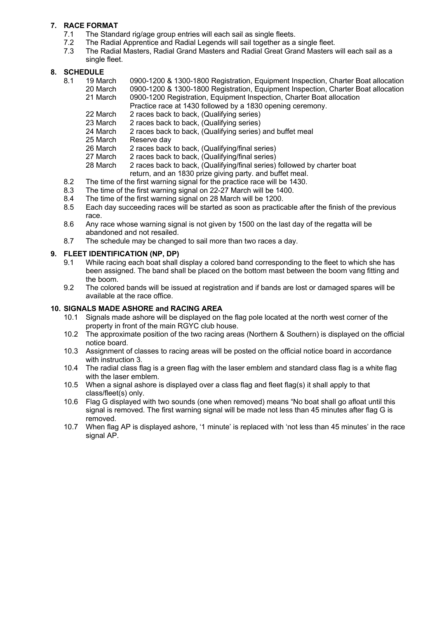## **7. RACE FORMAT**

- 7.1 The Standard rig/age group entries will each sail as single fleets.
- 7.2 The Radial Apprentice and Radial Legends will sail together as a single fleet.
- 7.3 The Radial Masters, Radial Grand Masters and Radial Great Grand Masters will each sail as a single fleet.

## **8. SCHEDULE**

- 8.1 19 March 0900-1200 & 1300-1800 Registration, Equipment Inspection, Charter Boat allocation 20 March 0900-1200 & 1300-1800 Registration, Equipment Inspection, Charter Boat allocation 21 March 0900-1200 Registration, Equipment Inspection, Charter Boat allocation
	- Practice race at 1430 followed by a 1830 opening ceremony.
	- 22 March 2 races back to back, (Qualifying series)
	- 23 March 2 races back to back, (Qualifying series)
	- 24 March 2 races back to back, (Qualifying series) and buffet meal
	- 25 March Reserve day
	- 26 March 2 races back to back, (Qualifying/final series)
	- 27 March 2 races back to back, (Qualifying/final series)
	- 28 March 2 races back to back, (Qualifying/final series) followed by charter boat return, and an 1830 prize giving party. and buffet meal.
- 8.2 The time of the first warning signal for the practice race will be 1430.
- 8.3 The time of the first warning signal on 22-27 March will be 1400.
- 8.4 The time of the first warning signal on 28 March will be 1200.
- 8.5 Each day succeeding races will be started as soon as practicable after the finish of the previous race.
- 8.6 Any race whose warning signal is not given by 1500 on the last day of the regatta will be abandoned and not resailed.
- 8.7 The schedule may be changed to sail more than two races a day.

## **9. FLEET IDENTIFICATION (NP, DP)**

- 9.1 While racing each boat shall display a colored band corresponding to the fleet to which she has been assigned. The band shall be placed on the bottom mast between the boom vang fitting and the boom.
- 9.2 The colored bands will be issued at registration and if bands are lost or damaged spares will be available at the race office.

#### **10. SIGNALS MADE ASHORE and RACING AREA**

- 10.1 Signals made ashore will be displayed on the flag pole located at the north west corner of the property in front of the main RGYC club house.
- 10.2 The approximate position of the two racing areas (Northern & Southern) is displayed on the official notice board.
- 10.3 Assignment of classes to racing areas will be posted on the official notice board in accordance with instruction 3.
- 10.4 The radial class flag is a green flag with the laser emblem and standard class flag is a white flag with the laser emblem.
- 10.5 When a signal ashore is displayed over a class flag and fleet flag(s) it shall apply to that class/fleet(s) only.
- 10.6 Flag G displayed with two sounds (one when removed) means "No boat shall go afloat until this signal is removed. The first warning signal will be made not less than 45 minutes after flag G is removed.
- 10.7 When flag AP is displayed ashore, '1 minute' is replaced with 'not less than 45 minutes' in the race signal AP.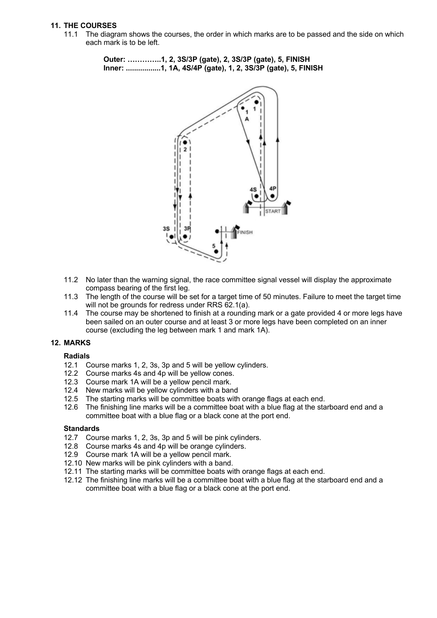#### **11. THE COURSES**

11.1 The diagram shows the courses, the order in which marks are to be passed and the side on which each mark is to be left.

> **Outer: …………..1, 2, 3S/3P (gate), 2, 3S/3P (gate), 5, FINISH Inner: .................1, 1A, 4S/4P (gate), 1, 2, 3S/3P (gate), 5, FINISH**



- 11.2 No later than the warning signal, the race committee signal vessel will display the approximate compass bearing of the first leg.
- 11.3 The length of the course will be set for a target time of 50 minutes. Failure to meet the target time will not be grounds for redress under RRS 62.1(a).
- 11.4 The course may be shortened to finish at a rounding mark or a gate provided 4 or more legs have been sailed on an outer course and at least 3 or more legs have been completed on an inner course (excluding the leg between mark 1 and mark 1A).

#### **12. MARKS**

#### **Radials**

- 12.1 Course marks 1, 2, 3s, 3p and 5 will be yellow cylinders.
- 12.2 Course marks 4s and 4p will be yellow cones.
- 12.3 Course mark 1A will be a yellow pencil mark.
- 12.4 New marks will be yellow cylinders with a band
- 12.5 The starting marks will be committee boats with orange flags at each end.<br>12.6 The finishing line marks will be a committee boat with a blue flag at the sta
- The finishing line marks will be a committee boat with a blue flag at the starboard end and a committee boat with a blue flag or a black cone at the port end.

#### **Standards**

- 12.7 Course marks 1, 2, 3s, 3p and 5 will be pink cylinders.
- 12.8 Course marks 4s and 4p will be orange cylinders.
- 12.9 Course mark 1A will be a yellow pencil mark.
- 12.10 New marks will be pink cylinders with a band.
- 12.11 The starting marks will be committee boats with orange flags at each end.
- 12.12 The finishing line marks will be a committee boat with a blue flag at the starboard end and a committee boat with a blue flag or a black cone at the port end.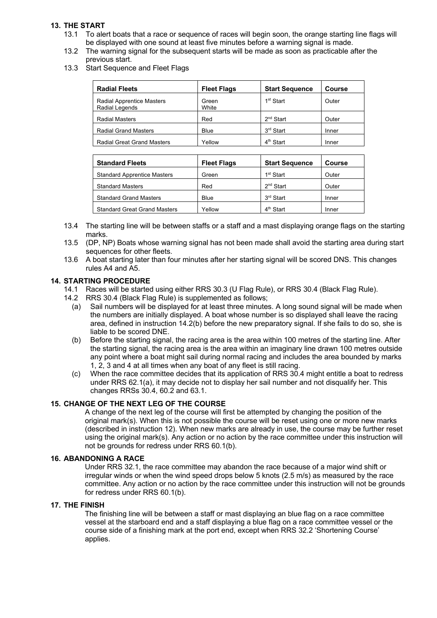## **13. THE START**

- 13.1 To alert boats that a race or sequence of races will begin soon, the orange starting line flags will be displayed with one sound at least five minutes before a warning signal is made.
- 13.2 The warning signal for the subsequent starts will be made as soon as practicable after the previous start.
- 13.3 Start Sequence and Fleet Flags

| <b>Radial Fleets</b>                               | <b>Start Sequence</b><br><b>Fleet Flags</b> |                       | Course |
|----------------------------------------------------|---------------------------------------------|-----------------------|--------|
| <b>Radial Apprentice Masters</b><br>Radial Legends | Green<br>White                              | 1 <sup>st</sup> Start | Outer  |
| <b>Radial Masters</b>                              | Red                                         | 2 <sup>nd</sup> Start | Outer  |
| <b>Radial Grand Masters</b>                        | Blue                                        | 3 <sup>rd</sup> Start | Inner  |
| <b>Radial Great Grand Masters</b>                  | Yellow                                      | 4 <sup>th</sup> Start | Inner  |

| <b>Standard Fleets</b>              | <b>Fleet Flags</b> | <b>Start Sequence</b> | <b>Course</b> |  |
|-------------------------------------|--------------------|-----------------------|---------------|--|
| <b>Standard Apprentice Masters</b>  | Green              | 1 <sup>st</sup> Start | Outer         |  |
| <b>Standard Masters</b>             | Red                | 2 <sup>nd</sup> Start | Outer         |  |
| <b>Standard Grand Masters</b>       | Blue               | 3 <sup>rd</sup> Start | Inner         |  |
| <b>Standard Great Grand Masters</b> | Yellow             | 4 <sup>th</sup> Start | Inner         |  |

- 13.4 The starting line will be between staffs or a staff and a mast displaying orange flags on the starting marks.
- 13.5 (DP, NP) Boats whose warning signal has not been made shall avoid the starting area during start sequences for other fleets.
- 13.6 A boat starting later than four minutes after her starting signal will be scored DNS. This changes rules A4 and A5.

#### **14. STARTING PROCEDURE**

- 14.1 Races will be started using either RRS 30.3 (U Flag Rule), or RRS 30.4 (Black Flag Rule).
- 14.2 RRS 30.4 (Black Flag Rule) is supplemented as follows;
	- (a) Sail numbers will be displayed for at least three minutes. A long sound signal will be made when the numbers are initially displayed. A boat whose number is so displayed shall leave the racing area, defined in instruction 14.2(b) before the new preparatory signal. If she fails to do so, she is liable to be scored DNE.
	- (b) Before the starting signal, the racing area is the area within 100 metres of the starting line. After the starting signal, the racing area is the area within an imaginary line drawn 100 metres outside any point where a boat might sail during normal racing and includes the area bounded by marks 1, 2, 3 and 4 at all times when any boat of any fleet is still racing.
	- (c) When the race committee decides that its application of RRS 30.4 might entitle a boat to redress under RRS 62.1(a), it may decide not to display her sail number and not disqualify her. This changes RRSs 30.4, 60.2 and 63.1.

#### **15. CHANGE OF THE NEXT LEG OF THE COURSE**

A change of the next leg of the course will first be attempted by changing the position of the original mark(s). When this is not possible the course will be reset using one or more new marks (described in instruction 12). When new marks are already in use, the course may be further reset using the original mark(s). Any action or no action by the race committee under this instruction will not be grounds for redress under RRS 60.1(b).

#### **16. ABANDONING A RACE**

Under RRS 32.1, the race committee may abandon the race because of a major wind shift or irregular winds or when the wind speed drops below 5 knots (2.5 m/s) as measured by the race committee. Any action or no action by the race committee under this instruction will not be grounds for redress under RRS 60.1(b).

#### **17. THE FINISH**

The finishing line will be between a staff or mast displaying an blue flag on a race committee vessel at the starboard end and a staff displaying a blue flag on a race committee vessel or the course side of a finishing mark at the port end, except when RRS 32.2 'Shortening Course' applies.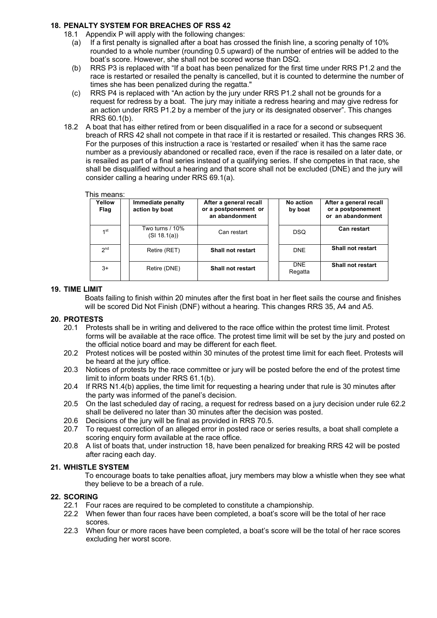#### **18. PENALTY SYSTEM FOR BREACHES OF RSS 42**

- 18.1 Appendix P will apply with the following changes:
	- (a) If a first penalty is signalled after a boat has crossed the finish line, a scoring penalty of 10% rounded to a whole number (rounding 0.5 upward) of the number of entries will be added to the boat's score. However, she shall not be scored worse than DSQ.
	- (b) RRS P3 is replaced with "If a boat has been penalized for the first time under RRS P1.2 and the race is restarted or resailed the penalty is cancelled, but it is counted to determine the number of times she has been penalized during the regatta."
	- (c) RRS P4 is replaced with "An action by the jury under RRS P1.2 shall not be grounds for a request for redress by a boat. The jury may initiate a redress hearing and may give redress for an action under RRS P1.2 by a member of the jury or its designated observer". This changes RRS 60.1(b).
- 18.2 A boat that has either retired from or been disqualified in a race for a second or subsequent breach of RRS 42 shall not compete in that race if it is restarted or resailed. This changes RRS 36. For the purposes of this instruction a race is 'restarted or resailed' when it has the same race number as a previously abandoned or recalled race, even if the race is resailed on a later date, or is resailed as part of a final series instead of a qualifying series. If she competes in that race, she shall be disqualified without a hearing and that score shall not be excluded (DNE) and the jury will consider calling a hearing under RRS 69.1(a).

#### This means:

| Yellow<br>Flag  | Immediate penalty<br>action by boat | After a general recall<br>or a postponement or<br>an abandonment | No action<br>by boat  | After a general recall<br>or a postponement<br>or an abandonment |
|-----------------|-------------------------------------|------------------------------------------------------------------|-----------------------|------------------------------------------------------------------|
| 1st             | Two turns / 10%<br>(SI 18.1(a))     | Can restart                                                      | <b>DSQ</b>            | <b>Can restart</b>                                               |
| 2 <sub>nd</sub> | Retire (RET)                        | Shall not restart                                                | <b>DNE</b>            | <b>Shall not restart</b>                                         |
| $3+$            | Retire (DNE)                        | Shall not restart                                                | <b>DNE</b><br>Regatta | <b>Shall not restart</b>                                         |

#### **19. TIME LIMIT**

Boats failing to finish within 20 minutes after the first boat in her fleet sails the course and finishes will be scored Did Not Finish (DNF) without a hearing. This changes RRS 35, A4 and A5.

#### **20. PROTESTS**

- 20.1 Protests shall be in writing and delivered to the race office within the protest time limit. Protest forms will be available at the race office. The protest time limit will be set by the jury and posted on the official notice board and may be different for each fleet.
- 20.2 Protest notices will be posted within 30 minutes of the protest time limit for each fleet. Protests will be heard at the jury office.
- 20.3 Notices of protests by the race committee or jury will be posted before the end of the protest time limit to inform boats under RRS 61.1(b).
- 20.4 If RRS N1.4(b) applies, the time limit for requesting a hearing under that rule is 30 minutes after the party was informed of the panel's decision.
- 20.5 On the last scheduled day of racing, a request for redress based on a jury decision under rule 62.2 shall be delivered no later than 30 minutes after the decision was posted.
- 20.6 Decisions of the jury will be final as provided in RRS 70.5.<br>20.7 To request correction of an alleged error in posted race or
- To request correction of an alleged error in posted race or series results, a boat shall complete a scoring enquiry form available at the race office.
- 20.8 A list of boats that, under instruction 18, have been penalized for breaking RRS 42 will be posted after racing each day.

#### **21. WHISTLE SYSTEM**

To encourage boats to take penalties afloat, jury members may blow a whistle when they see what they believe to be a breach of a rule.

#### **22. SCORING**

- 22.1 Four races are required to be completed to constitute a championship.
- 22.2 When fewer than four races have been completed, a boat's score will be the total of her race scores.
- 22.3 When four or more races have been completed, a boat's score will be the total of her race scores excluding her worst score.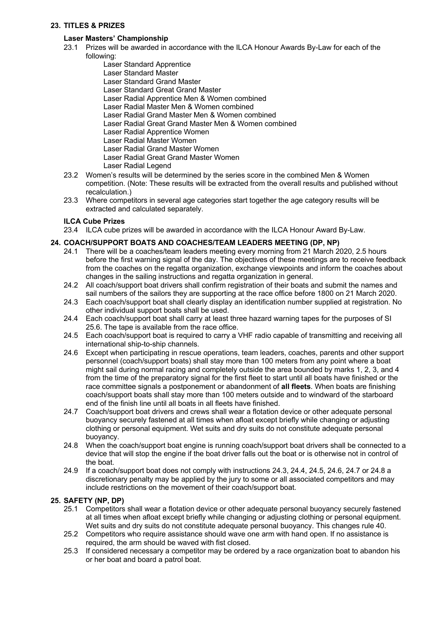#### **23. TITLES & PRIZES**

## **Laser Masters' Championship**

- 23.1 Prizes will be awarded in accordance with the ILCA Honour Awards By-Law for each of the following:
	- Laser Standard Apprentice
	- Laser Standard Master
	- Laser Standard Grand Master
	- Laser Standard Great Grand Master
	- Laser Radial Apprentice Men & Women combined
	- Laser Radial Master Men & Women combined
	- Laser Radial Grand Master Men & Women combined
	- Laser Radial Great Grand Master Men & Women combined
	- Laser Radial Apprentice Women
	- Laser Radial Master Women
	- Laser Radial Grand Master Women
	- Laser Radial Great Grand Master Women
	- Laser Radial Legend
- 23.2 Women's results will be determined by the series score in the combined Men & Women competition. (Note: These results will be extracted from the overall results and published without recalculation.)
- 23.3 Where competitors in several age categories start together the age category results will be extracted and calculated separately.

## **ILCA Cube Prizes**

23.4 ILCA cube prizes will be awarded in accordance with the ILCA Honour Award By-Law.

## **24. COACH/SUPPORT BOATS AND COACHES/TEAM LEADERS MEETING (DP, NP)**

- 24.1 There will be a coaches/team leaders meeting every morning from 21 March 2020, 2.5 hours before the first warning signal of the day. The objectives of these meetings are to receive feedback from the coaches on the regatta organization, exchange viewpoints and inform the coaches about changes in the sailing instructions and regatta organization in general.
- 24.2 All coach/support boat drivers shall confirm registration of their boats and submit the names and sail numbers of the sailors they are supporting at the race office before 1800 on 21 March 2020.
- 24.3 Each coach/support boat shall clearly display an identification number supplied at registration. No other individual support boats shall be used.
- 24.4 Each coach/support boat shall carry at least three hazard warning tapes for the purposes of SI 25.6. The tape is available from the race office.
- 24.5 Each coach/support boat is required to carry a VHF radio capable of transmitting and receiving all international ship-to-ship channels.
- 24.6 Except when participating in rescue operations, team leaders, coaches, parents and other support personnel (coach/support boats) shall stay more than 100 meters from any point where a boat might sail during normal racing and completely outside the area bounded by marks 1, 2, 3, and 4 from the time of the preparatory signal for the first fleet to start until all boats have finished or the race committee signals a postponement or abandonment of **all fleets**. When boats are finishing coach/support boats shall stay more than 100 meters outside and to windward of the starboard end of the finish line until all boats in all fleets have finished.
- 24.7 Coach/support boat drivers and crews shall wear a flotation device or other adequate personal buoyancy securely fastened at all times when afloat except briefly while changing or adjusting clothing or personal equipment. Wet suits and dry suits do not constitute adequate personal buoyancy.
- 24.8 When the coach/support boat engine is running coach/support boat drivers shall be connected to a device that will stop the engine if the boat driver falls out the boat or is otherwise not in control of the boat.
- 24.9 If a coach/support boat does not comply with instructions 24.3, 24.4, 24.5, 24.6, 24.7 or 24.8 a discretionary penalty may be applied by the jury to some or all associated competitors and may include restrictions on the movement of their coach/support boat.

## **25. SAFETY (NP, DP)**

- 25.1 Competitors shall wear a flotation device or other adequate personal buoyancy securely fastened at all times when afloat except briefly while changing or adjusting clothing or personal equipment. Wet suits and dry suits do not constitute adequate personal buoyancy. This changes rule 40.
- 25.2 Competitors who require assistance should wave one arm with hand open. If no assistance is required, the arm should be waved with fist closed.
- 25.3 If considered necessary a competitor may be ordered by a race organization boat to abandon his or her boat and board a patrol boat.